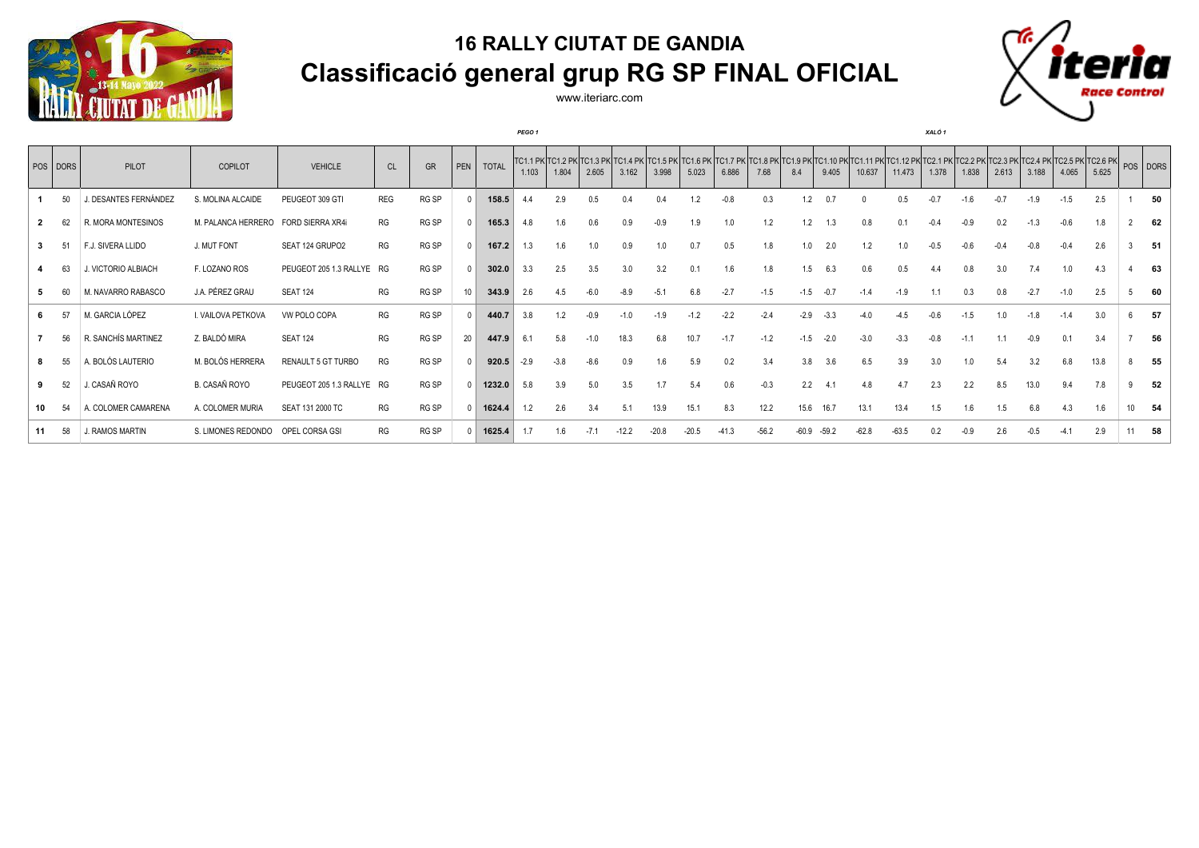

www.iteriarc.com

*PEGO 1 XALÓ 1*



|              | POS DORS | PILOT                 | COPILOT            | <b>VEHICLE</b>            | <b>CL</b>  | GR           | PEN | <b>TOTAL</b> | 1.103  | 1.804  | 2.605  | 3.162   | 3.998   | 5.023   | 6.886   | 7.68    | 8.4     | 9.405   | TC1.1 PK TC1.2 PK TC1.2 PK TC1.4 PK TC1.5 PK TC1.6 PK TC1.7 PK TC1.8 PK TC1.9 PK TC1.10 PK TC1.11 PK TC1.12 PK TC2.1 PK TC2.2 PK TC2.3 PK TC2.5 PK TC2.5 PK TC2.6 PK POS DORS<br>10.637 | 11.473  | 1.378  | 1.838  | 2.613  | 3.188  | 4.065  | 5.625 |   |       |
|--------------|----------|-----------------------|--------------------|---------------------------|------------|--------------|-----|--------------|--------|--------|--------|---------|---------|---------|---------|---------|---------|---------|-----------------------------------------------------------------------------------------------------------------------------------------------------------------------------------------|---------|--------|--------|--------|--------|--------|-------|---|-------|
|              | 50       | J. DESANTES FERNÁNDEZ | S. MOLINA ALCAIDE  | PEUGEOT 309 GTI           | <b>REG</b> | RG SP        |     | 158.5        |        | 2.9    | 0.5    | 0.4     | 0.4     | 1.2     | $-0.8$  | 0.3     | 1.2     | 0.7     |                                                                                                                                                                                         | 0.5     | $-0.7$ | $-1.6$ | $-0.7$ | $-1.9$ | $-1.5$ | 2.5   |   | 50    |
| $\mathbf{2}$ | 62       | R. MORA MONTESINOS    | M. PALANCA HERRERO | FORD SIERRA XR4i          | RG         | RG SP        |     | 165.3        | 4.8    | 1.6    | 0.6    | 0.9     | $-0.9$  | 1.9     | 1.0     | 1.2     | 1.2     | 1.3     | 0.8                                                                                                                                                                                     | 0.1     | $-0.4$ | $-0.9$ | 0.2    | $-1.3$ | $-0.6$ | 1.8   |   | 62    |
|              | 51       | F.J. SIVERA LLIDO     | J. MUT FONT        | SEAT 124 GRUPO2           | RG         | RG SP        |     | 167.2        | 1.3    | 1.6    | 1.0    | 0.9     | 1.0     | 0.7     | 0.5     | 1.8     | 1.0     | 2.0     | 1.2                                                                                                                                                                                     | 1.0     | $-0.5$ | -0.6   | $-0.4$ | $-0.8$ | $-0.4$ | 2.6   | 3 | 51    |
|              | 63       | J. VICTORIO ALBIACH   | F. LOZANO ROS      | PEUGEOT 205 1.3 RALLYE RG |            | RG SP        |     | 302.0        | 3.3    | 2.5    | 3.5    | 3.0     | 3.2     | 0.1     | 1.6     | 1.8     | 1.5     | 6.3     | 0.6                                                                                                                                                                                     | 0.5     | 4.4    |        | 3.0    | 7.4    | 1.0    | 4.3   |   | 63    |
|              |          | M. NAVARRO RABASCO    | J.A. PÉREZ GRAU    | <b>SEAT 124</b>           | RG         | RG SP        |     | 343.9        | 2.6    | 4.5    | $-6.0$ | $-8.9$  | $-5.1$  | 6.8     | $-2.7$  | $-1.5$  | $-1.5$  | $-0.7$  | $-1.4$                                                                                                                                                                                  | $-1.9$  |        | 0.3    | 0.8    | $-2.7$ | $-1.0$ | 2.5   |   | 60    |
|              |          | M. GARCIA LÓPEZ       | I. VAILOVA PETKOVA | VW POLO COPA              | RG         | RG SP        |     | 440.7        | 3.8    | 1.2    | $-0.9$ | $-1.0$  | $-1.9$  | $-1.2$  | $-2.2$  | $-2.4$  | $-2.9$  | $-3.3$  |                                                                                                                                                                                         | $-4.5$  |        | -1.5   | 1.0    | $-1.8$ |        | 3.0   | 6 | 57    |
|              | 56       | R. SANCHÍS MARTINEZ   | Z. BALDÓ MIRA      | <b>SEAT 124</b>           | RG         | RG SP        | 20  | 447.9        | 6.1    | 5.8    | $-1.0$ | 18.3    | 6.8     | 10.7    | $-1.7$  | $-1.2$  | $-1.5$  | $-2.0$  | $-3.0$                                                                                                                                                                                  | $-3.3$  | $-0.8$ | $-1.1$ |        | $-0.9$ | 0.1    | 3.4   |   | 56    |
|              | 55       | A. BOLÓS LAUTERIO     | M. BOLÓS HERRERA   | RENAULT 5 GT TURBO        | RG         | RG SP        |     | 920.5        | $-2.9$ | $-3.8$ | $-8.6$ | 0.9     | 1.6     | 5.9     | 0.2     | 3.4     | 3.8     | 3.6     | 6.5                                                                                                                                                                                     | 3.9     | 3.0    | 1.0    | 5.4    | 3.2    | 6.8    | 13.8  | 8 | 55    |
|              | 52       | J. CASAÑ ROYO         | B. CASAÑ ROYO      | PEUGEOT 205 1.3 RALLYE RG |            | <b>RG SP</b> |     | 1232.0       | 5.8    | 3.9    | 5.0    | 3.5     | 1.7     | 5.4     | 0.6     | $-0.3$  | 2.2     | 4.1     | 4.8                                                                                                                                                                                     | 4.7     | 2.3    | 2.2    | 8.5    | 13.0   | 9.4    | 7.8   | 9 | 52    |
| 10           | 54       | A. COLOMER CAMARENA   | A. COLOMER MURIA   | SEAT 131 2000 TC          | RG         | RG SP        |     | 1624.4       | 1.2    | 2.6    | 3.4    | 5.1     | 13.9    | 15.1    | 8.3     | 12.2    | 15.6    | 16.7    | 13.1                                                                                                                                                                                    | 13.4    | 1.5    | 1.6    | 1.5    | 6.8    | 4.3    | 1.6   |   | 10 54 |
| 11           | 58       | J. RAMOS MARTIN       | S. LIMONES REDONDO | OPEL CORSA GSI            | RG         | RG SP        |     | 1625.4       |        | 1.6    | $-7.1$ | $-12.2$ | $-20.8$ | $-20.5$ | $-41.3$ | $-56.2$ | $-60.9$ | $-59.2$ | $-62.8$                                                                                                                                                                                 | $-63.5$ | 0.2    |        | 2.6    | -0.5   |        | 2.9   |   | 58    |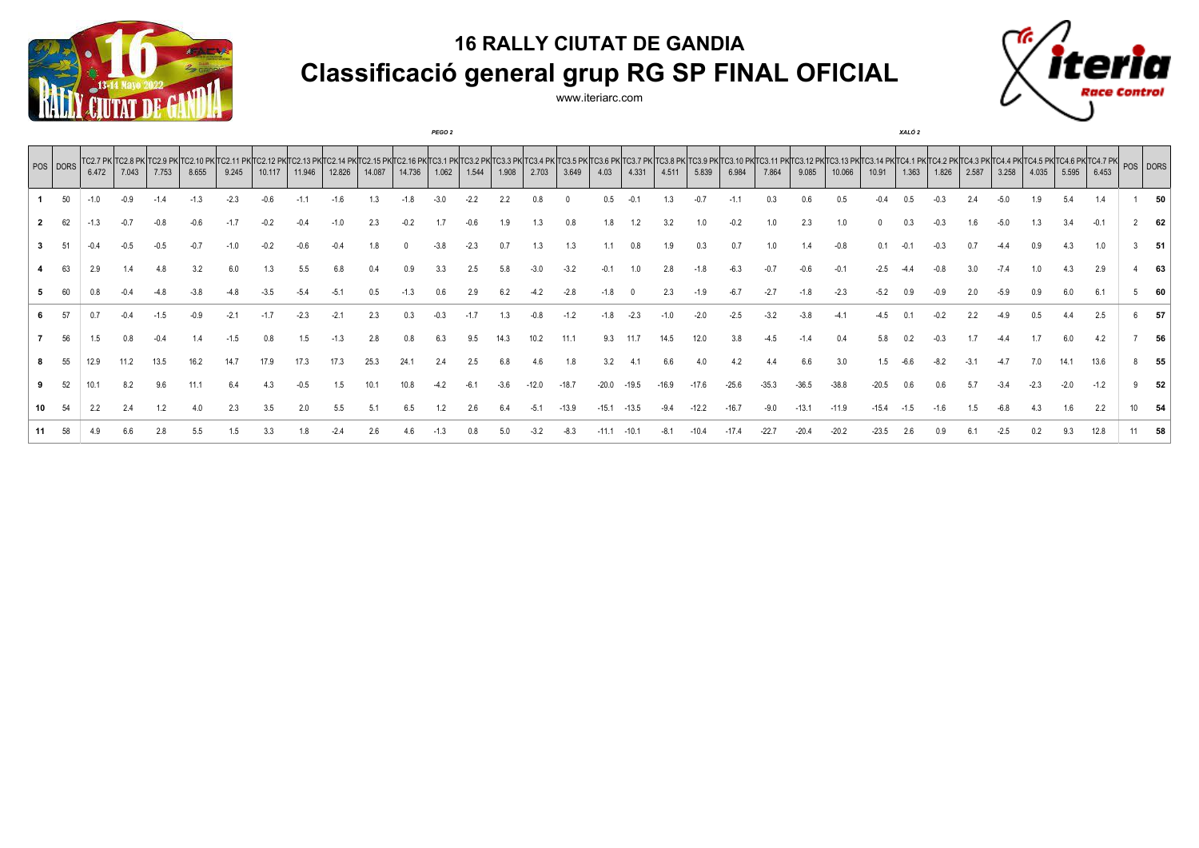

www.iteriarc.com

*PEGO 2 XALÓ 2*



| $ pos $ DORS | 6.472 | 7.043 | TC2.7 PK TC2.8 PK TC2.9 PK<br>7.753 | 8.655 | 9.245 | 10.117 | 11.946 | 12.826 | 14.087 | 14.736 | 1.062 | 1.544 | 1.908 | 2.703 | 3.649 | 4.03 | 4.331 | 4.511 | 5.839 | 6.984 | IC2.13 PKTC2.14 PKTC2.15 PKTC2.16 PKTC3.1 PKTC3.2 PKTC3.3 PKTC3.4 PKTC3.5 PKTC3.5 PKTC3.7 PKTC3.8 PKTC3.9 PKTC3.10 PKTC3.12 PKTC3.12 PKTC3.12 PKTC3.14 PKTC4.1 PKTC4.2 PKTC4.2 PKTC4.3 PKTC4.5 PKTC4.7 PKT POS DORS<br>7.864 | 9.085 | 10.066 | 10.91 | 1.363 | 1.826 | 2.587 | 3.258 | 4.035 | 5.595  | 6.453  |    |
|--------------|-------|-------|-------------------------------------|-------|-------|--------|--------|--------|--------|--------|-------|-------|-------|-------|-------|------|-------|-------|-------|-------|------------------------------------------------------------------------------------------------------------------------------------------------------------------------------------------------------------------------------|-------|--------|-------|-------|-------|-------|-------|-------|--------|--------|----|
|              |       |       |                                     |       |       |        |        |        |        |        |       |       |       |       |       |      |       |       |       |       |                                                                                                                                                                                                                              |       |        |       |       |       |       |       |       |        | 1.4    | 50 |
|              |       |       |                                     |       |       |        |        |        |        |        |       |       |       |       |       |      |       |       |       |       |                                                                                                                                                                                                                              |       |        |       |       |       |       |       |       |        |        | 62 |
|              |       |       |                                     |       |       |        |        |        |        |        |       |       |       |       |       |      |       |       |       |       |                                                                                                                                                                                                                              |       |        |       |       |       |       |       |       |        | 1.0    | 51 |
|              |       |       |                                     |       |       |        |        |        |        |        |       |       |       |       |       |      |       |       |       |       |                                                                                                                                                                                                                              |       |        |       |       |       |       |       |       |        | 2.9    | 63 |
|              |       |       |                                     |       |       |        |        |        |        |        |       |       |       |       |       |      |       |       |       |       |                                                                                                                                                                                                                              |       |        |       |       |       |       |       |       |        | 6.1    | 60 |
|              |       |       |                                     |       |       |        |        |        |        |        |       |       |       |       |       |      |       |       |       |       |                                                                                                                                                                                                                              |       |        |       |       |       |       |       |       |        | 2.5    | 57 |
| 56           |       |       |                                     |       |       |        |        |        |        |        |       |       |       |       |       |      |       |       |       |       |                                                                                                                                                                                                                              |       |        |       |       |       |       |       |       |        | 4.2    | 56 |
|              | 12.9  |       |                                     |       |       |        |        |        |        |        |       |       |       |       |       |      |       |       |       |       |                                                                                                                                                                                                                              |       |        |       |       |       |       |       |       |        | 13.6   | 55 |
|              |       |       |                                     |       |       |        |        |        |        |        |       |       |       |       |       |      |       |       |       |       |                                                                                                                                                                                                                              |       |        |       |       |       |       |       |       | $-2.0$ | $-1.2$ | 52 |
|              |       |       |                                     |       |       |        |        |        |        |        |       |       |       |       |       |      |       |       |       |       |                                                                                                                                                                                                                              |       |        |       |       |       |       |       |       |        | 2.2    | 54 |
|              |       |       |                                     |       |       |        |        |        |        |        |       |       |       |       |       |      |       |       |       |       |                                                                                                                                                                                                                              |       |        |       |       |       |       |       |       |        |        | 58 |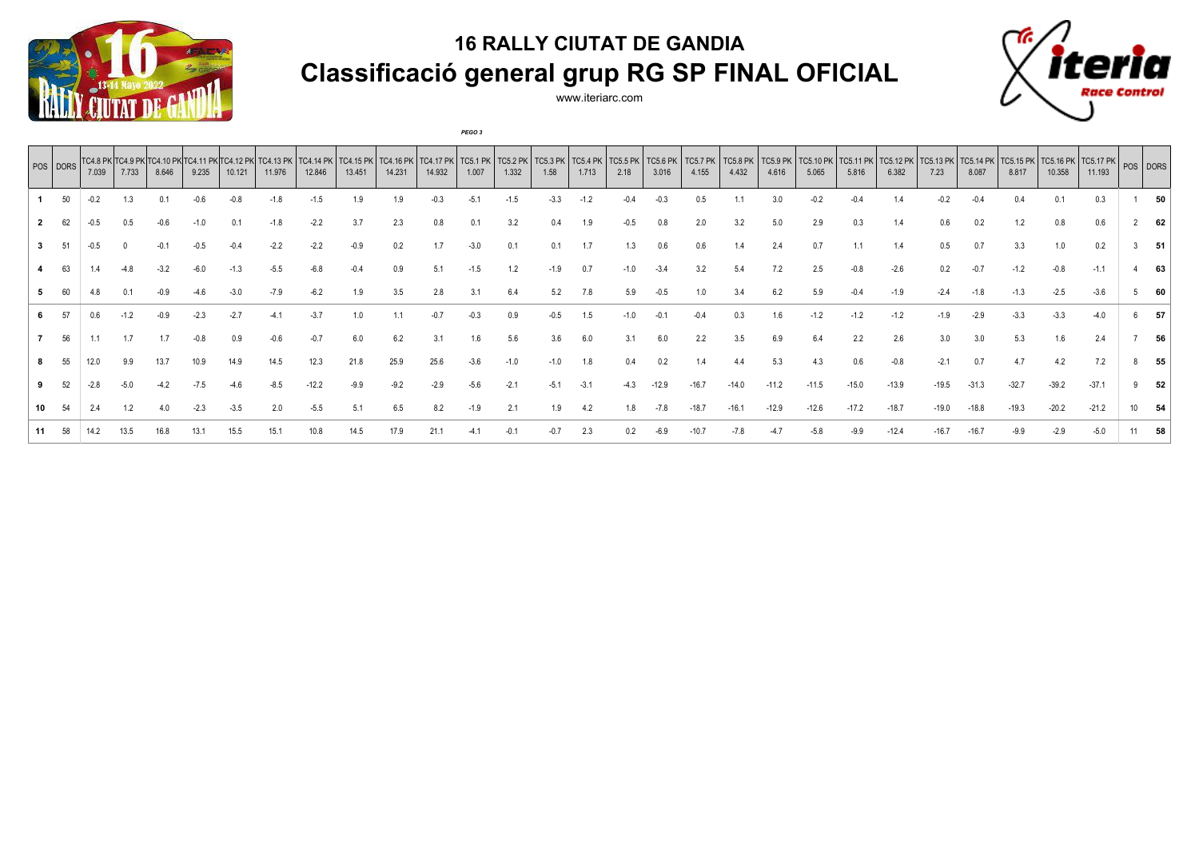

www.iteriarc.com

*PEGO 3*

|     | POS   DORS | 7.039  | 7.733 | TC4.8 PK TC4.9 PK TC4.10 PK TC4.11 PK<br>8.646 | 9.235 | 10.121 | TC4.13 PK<br>11.976 | TC4.<br>12.846 | TC4.15 PK<br>13.451 | TC4.16 PK<br>14.231 | <b>TC4.17 PK</b><br>14.932 | <b>TC5.1 PK</b><br>1.007 | <b>TC5.2 PK</b><br>1.332 | <b>TC5.3 PK</b><br>1.58 | <b>TC5.4 PK</b><br>1.713 | <b>TC5.5 PK</b><br>2.18 | TC5.6 PK<br>3.016 | <b>TC5.7 PK</b><br>4.155 | <b>TC5.8 PK</b><br>4.432 | <b>TC5.9 PK</b><br>4.616 | <b>TC5.10 PK</b><br>5.065 | <b>TC5.11 PK</b><br>5.816 | <b>TC5.12 PK</b><br>6.382 | <b>TC5.13 PK</b><br>7.23 | <b>TC5.14 PK</b><br>8.087 | <b>TC5.15 PK</b><br>8.817 | TCS.16 PK   TCS.17 PK   POS   DORS<br>10.358 | 11.193  |    |
|-----|------------|--------|-------|------------------------------------------------|-------|--------|---------------------|----------------|---------------------|---------------------|----------------------------|--------------------------|--------------------------|-------------------------|--------------------------|-------------------------|-------------------|--------------------------|--------------------------|--------------------------|---------------------------|---------------------------|---------------------------|--------------------------|---------------------------|---------------------------|----------------------------------------------|---------|----|
|     | 50         | $-0.2$ |       |                                                |       |        |                     |                |                     |                     |                            |                          |                          | $-3.3$                  |                          |                         |                   |                          |                          |                          |                           |                           |                           |                          |                           |                           |                                              |         |    |
|     |            |        |       |                                                |       |        |                     | -2.2           | 3.7                 | 2.3                 | 0.8                        | 0.1                      | 3.2                      | 0.4                     |                          |                         | 0.8               | 2.0                      | 3.2                      | 5.0                      | 2.9                       | 0.3                       |                           |                          |                           |                           |                                              | 0.6     | 62 |
|     |            |        |       |                                                |       |        |                     |                | -0.9                | 0.2                 |                            | $-3.0$                   | 0.1                      | 0.1                     | 1.7                      | 1.3                     |                   | 0.6                      | 1.4                      | 2.4                      | 0.7                       |                           | 1.4                       |                          | 0.7                       | 3.3 <sup>2</sup>          | 1.0                                          | 0.2     | 51 |
|     | 63         |        |       |                                                |       |        |                     |                |                     | 0.9                 |                            |                          |                          |                         |                          |                         |                   |                          | 5.4                      |                          |                           |                           |                           |                          |                           |                           |                                              | $-1.1$  | 63 |
|     |            |        |       |                                                |       |        |                     |                |                     | 3.5                 |                            | 3.1                      | 6.4                      | 5.2                     | 7.8                      | 5.9                     |                   |                          |                          |                          |                           |                           |                           |                          |                           |                           | $-2.5$                                       | $-3.6$  | 60 |
|     |            | 0.6    |       |                                                |       |        |                     |                |                     |                     |                            |                          |                          |                         |                          |                         |                   |                          |                          |                          |                           |                           |                           |                          |                           |                           |                                              |         | 57 |
|     | 56         |        |       |                                                |       |        |                     |                | 6.0                 | 6.2                 |                            |                          | 5.6                      |                         |                          |                         |                   |                          |                          |                          |                           | 2.2                       | 2.6                       |                          |                           |                           |                                              | 2.4     |    |
|     |            |        |       |                                                |       |        | 14.5                | 12.3           | 21.8                | 25.9                | 25.6                       | $-3.6$                   | -1.0                     |                         | 1.8                      |                         | 0.2               |                          |                          |                          |                           | 0.6                       |                           |                          |                           |                           | 4.2                                          | 7.2     |    |
|     |            |        |       |                                                |       |        |                     |                |                     |                     |                            | $-5.6$                   | $-2.1$                   | $-5.1$                  | $-3.1$                   | -4.3                    |                   |                          |                          | $-11.2$                  | $-11.5$                   | $-15.0$                   | $-13.9$                   | -19.5                    |                           | $-32.7$                   | $-39.2$                                      | $-37.1$ |    |
|     |            |        |       |                                                |       | -3.5   | 2.0                 | $-5.5$         | 5.                  | 6.5                 |                            | $-1.9$                   | 2.1                      |                         | 4.2                      | 1.8                     |                   |                          |                          |                          |                           |                           | $-18.7$                   |                          |                           |                           | $-20.2$                                      | $-21.2$ |    |
| 11. |            |        |       |                                                |       |        |                     |                |                     |                     |                            |                          |                          |                         |                          |                         |                   |                          |                          |                          |                           |                           |                           |                          |                           |                           |                                              |         |    |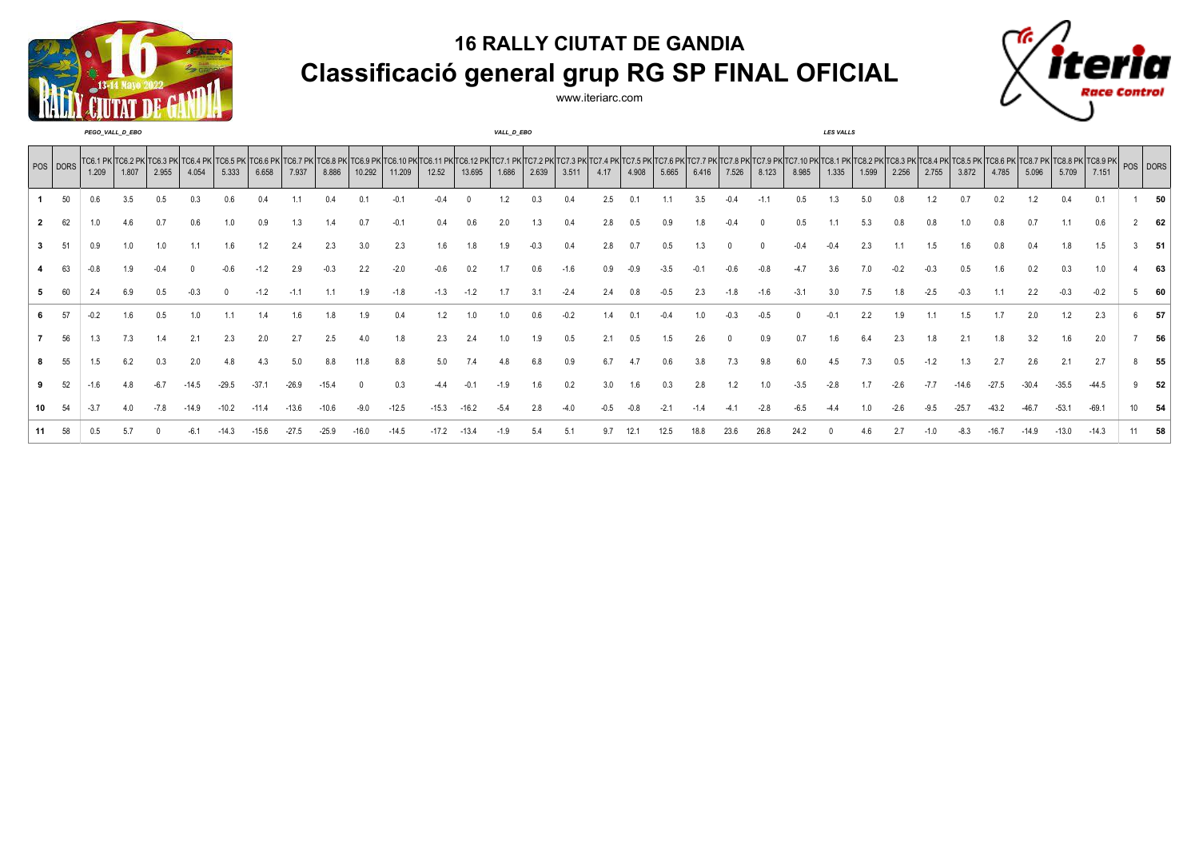



|              |    | 1.209 | 1.807 | POS DORS TC6.1 PK TC6.2 PK TC6.3 PK TC6.4<br>2.955 | 4.054 | 5.333 | 6.658 | TC6.7 PK<br>7.937 | 8.886 | TC6.9 PK<br>10.292 | 11.209 | . TC6.11 PK  <sup>-</sup><br>12.52 | 13.695 | 1.686 | 2.639 | TC7.2 PK TC7.3 PK TC7.4 PK TC7.5 PK TC7.6 PK <br>3.511 | 4.17 | 4.908 | 5.665 | 6.416 | 7.526 | 8.123 | TC7.7 PK TC7.8 PK TC7.9 PK TC7.10 PK TC8.1 PK<br>8.985 | 1.335 | TC8.2 PK 1<br>1.599 | 2.256 | TC8.3 PK TC8.4 PK<br>2.755 | 3.872 | TC8.6 PK TC8.7 PK TC8.8 PK TC8.9 PK POS DORS | 5.709 | 7.151 |  |
|--------------|----|-------|-------|----------------------------------------------------|-------|-------|-------|-------------------|-------|--------------------|--------|------------------------------------|--------|-------|-------|--------------------------------------------------------|------|-------|-------|-------|-------|-------|--------------------------------------------------------|-------|---------------------|-------|----------------------------|-------|----------------------------------------------|-------|-------|--|
|              |    |       |       |                                                    |       |       |       |                   |       |                    |        |                                    |        |       |       |                                                        |      |       |       |       |       |       |                                                        |       |                     |       |                            |       |                                              |       |       |  |
| $\mathbf{2}$ |    |       |       |                                                    |       |       |       |                   |       |                    |        |                                    |        |       |       |                                                        |      |       |       |       |       |       |                                                        |       |                     |       |                            |       |                                              |       | 0.6   |  |
| 3            |    |       |       |                                                    |       |       |       |                   |       |                    | 2.3    |                                    |        |       |       |                                                        |      |       |       |       |       |       |                                                        |       |                     |       |                            |       |                                              |       | 1.5   |  |
|              |    |       |       |                                                    |       |       |       |                   |       |                    |        |                                    |        |       |       |                                                        |      |       |       |       |       |       |                                                        |       |                     |       |                            |       |                                              |       |       |  |
| 5            |    |       |       |                                                    |       |       |       |                   |       |                    | -1.8   |                                    |        |       |       |                                                        |      |       |       |       |       |       |                                                        |       |                     |       |                            |       |                                              |       |       |  |
|              |    |       |       |                                                    |       |       |       |                   |       |                    |        |                                    |        |       |       |                                                        |      |       |       |       |       |       |                                                        |       |                     |       |                            |       |                                              |       | 2.3   |  |
|              | 56 |       |       |                                                    |       |       |       |                   |       |                    |        |                                    |        |       |       |                                                        |      |       |       |       |       |       |                                                        |       |                     |       |                            |       |                                              |       | 2.0   |  |
|              |    |       |       |                                                    |       |       |       |                   |       |                    | 8.8    |                                    |        |       |       |                                                        |      |       |       |       |       |       |                                                        |       |                     |       |                            |       |                                              |       |       |  |
|              |    |       |       |                                                    |       |       |       |                   |       |                    |        |                                    |        |       |       |                                                        |      |       |       |       |       |       |                                                        |       |                     |       |                            |       |                                              |       |       |  |
|              |    |       |       |                                                    |       |       |       |                   |       |                    |        |                                    |        |       |       |                                                        |      |       |       |       |       |       |                                                        |       |                     |       |                            |       |                                              |       |       |  |
|              |    |       |       |                                                    |       |       |       |                   |       |                    |        |                                    |        |       |       |                                                        |      |       |       |       |       |       |                                                        |       |                     |       |                            |       |                                              |       |       |  |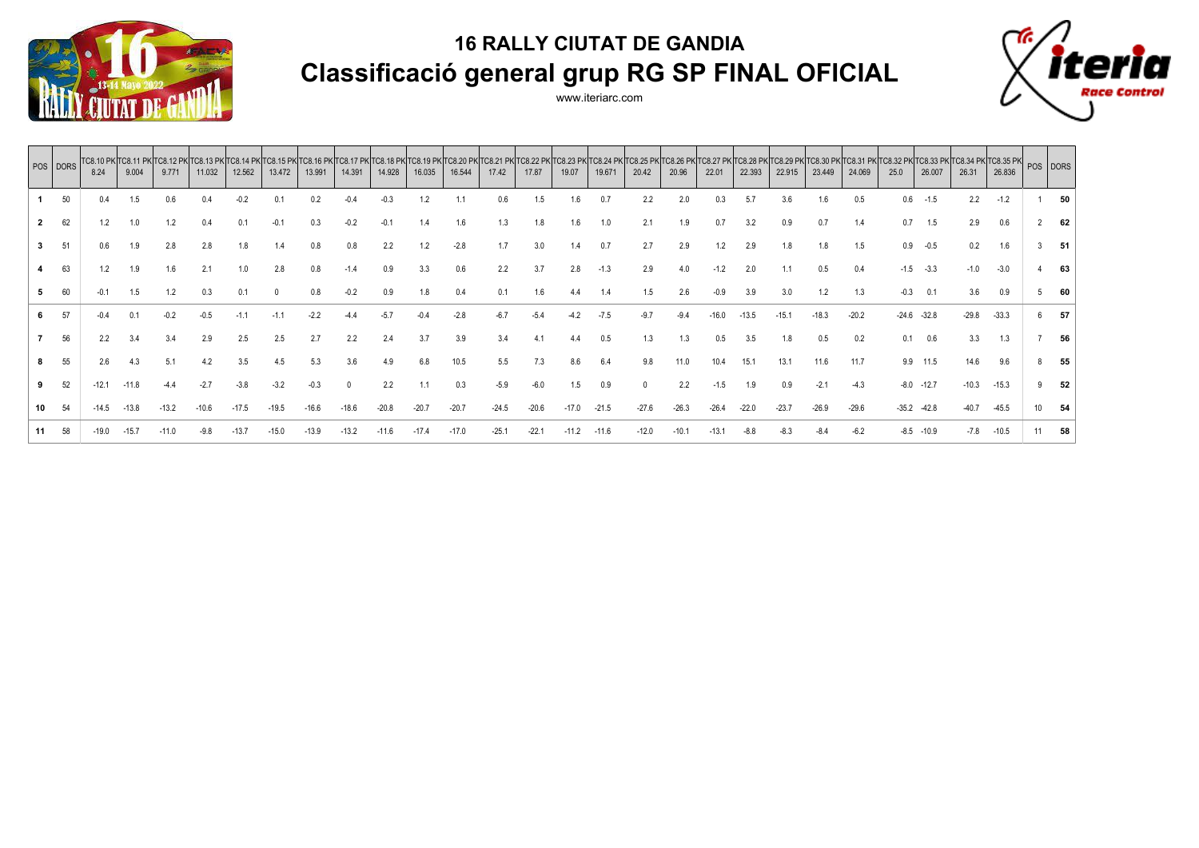



|              | POS DORS | 8.24    | 9.004   | TC8.10 PK TC8.11 PK TC8.12 PK TC8.13 PK<br>9.771 | 11.032 | 12.562  | 13.472 | 13.991  | 14.391  | TC8.15 PK TC8.16 PK TC8.17 PK TC8.18 PK TC8.19 PK TC8.20 PK TC8.21 PK TC8.22 PK <br>14.928 | 16.035 | 16.544  | 17.42   | 17.87   | 19.07   | 19.671  | 20.42   | 20.96   | 22.01   | 22.393 | TC8.23 PK TC8.24 PK TC8.25 PK TC8.26 PK TC8.27 PK TC8.28 PK TC8.29 PK <br>22.915 | 23.449  | 24.069  | 25.0    | 26.007  | $ TCB.30\text{ PK}$ $ TCB.31\text{ PK}$ $ TCB.32\text{ PK}$ $ TCB.33\text{ PK}$ $ TCB.34\text{ PK}$ $ TCB.35\text{ PK}$ $ POS$ $ DORS$<br>26.31 | 26.836  |                |     |
|--------------|----------|---------|---------|--------------------------------------------------|--------|---------|--------|---------|---------|--------------------------------------------------------------------------------------------|--------|---------|---------|---------|---------|---------|---------|---------|---------|--------|----------------------------------------------------------------------------------|---------|---------|---------|---------|-------------------------------------------------------------------------------------------------------------------------------------------------|---------|----------------|-----|
|              | 50       | 0.4     | 1.5     | 0.6                                              | 0.4    | $-0.2$  |        | 0.2     |         | $-0.3$                                                                                     | 1.2    |         | 0.6     | 1.5     | 1.6     | 0.7     | $2.2\,$ | 2.0     | 0.3     | 5.7    | 3.6                                                                              | 1.6     | 0.5     | 0.6     | $-1.5$  | 2.2                                                                                                                                             | $-1.2$  |                | 50  |
| $\mathbf{2}$ | 62       | 1.2     | 1.0     | 1.2                                              | 0.4    | 0.1     |        | 0.3     |         |                                                                                            | 1.4    | 1.6     |         |         | 1.6     | 1.0     | 2.1     | 1.9     | 0.7     | 3.2    | 0.9                                                                              | 0.7     | 1.4     | 0.7     | 1.5     | 2.9                                                                                                                                             | 0.6     |                | 62  |
| 3            | 51       | 0.6     | 1.9     | 2.8                                              | 2.8    | 1.8     |        |         |         |                                                                                            | 1.2    | $-2.8$  |         | 3.0     | 1.4     | 0.7     | 2.7     | 2.9     | 1.2     | 2.9    |                                                                                  |         | 1.5     | 0.9     | $-0.5$  | 0.2                                                                                                                                             | 1.6     |                | -51 |
|              | 63       | 1.2     | 1.9     | 1.6                                              | 2.1    | 1.0     |        | 0.8     |         |                                                                                            | 3.3    | 0.6     | 2.2     | 3.7     | 2.8     | $-1.3$  | 2.9     | 4.0     | $-1.2$  | 2.0    |                                                                                  | 0.5     | 0.4     | $-1.5$  | $-3.3$  | $-1.0$                                                                                                                                          | $-3.0$  |                | 63  |
| 5.           | 60       | $-0.1$  |         |                                                  | 0.3    | 0.1     |        | 0.8     |         |                                                                                            | 1.8    | 0.4     | 0.1     | 1.6     |         |         | 1.5     | 2.6     | $-0.9$  | 3.9    | 3.0                                                                              | 1.2     | 1.3     | $-0.3$  | 0.1     | 3.6                                                                                                                                             | 0.9     | 5 <sup>5</sup> | 60  |
| 6.           | 57       | $-0.4$  |         |                                                  | $-0.5$ |         |        |         |         |                                                                                            |        |         |         | $-5.4$  | $-4.2$  |         |         |         | .16.0   | -13.5  | $-15.1$                                                                          | $-18.3$ | $-20.2$ | $-24.6$ | $-32.8$ | $-29.8$                                                                                                                                         | $-33.3$ | 6              | 57  |
|              | 56       | 2.2     |         | 3.4                                              | 2.9    | 2.5     | 2.5    | 2.7     | 2.2     | 2.4                                                                                        | 3.7    |         |         |         |         | 0.5     | 1.3     |         |         | 3.5    |                                                                                  | 0.5     | 0.2     | 0.1     | 0.6     | 3.3                                                                                                                                             | 1.3     |                | 56  |
|              | 55       | 2.6     | 4.3     |                                                  |        | 3.5     |        | 5.3     | 3.6     |                                                                                            | 6.8    |         |         |         |         |         |         |         |         |        | 13.1                                                                             | 11.6    | 11.7    | 9.9     | 11.5    | 14.6                                                                                                                                            | 9.6     | 8              | 55  |
|              | 52       | $-12.1$ | $-11.8$ |                                                  | $-2.7$ | $-3.8$  | $-3.2$ | $-0.3$  |         | 2.2                                                                                        | 1.1    | 0.3     | $-5.9$  | $-6.0$  | 1.5     | 0.9     |         | 2.2     | $-1.5$  | 1.9    | 0.9                                                                              | $-2.1$  | $-4.3$  | $-8.0$  | $-12.7$ | $-10.3$                                                                                                                                         | $-15.3$ |                | 52  |
| 10           | 54       | $-14.5$ | $-13.8$ |                                                  | 10.6   |         |        | $-16.6$ |         |                                                                                            |        | $-20.7$ | $-24.5$ | $-20.6$ | $-17.0$ | $-21.5$ | $-27.6$ | $-26.3$ | $-26.4$ |        | $-23.7$                                                                          | $-26.9$ | $-29.6$ | $-35.2$ | $-42.8$ | $-40.7$                                                                                                                                         | $-45.5$ | 10             | 54  |
| 11.          | 58       | $-19.0$ | $-15.7$ |                                                  |        | $-13.7$ |        | $-13.9$ | $-13.2$ |                                                                                            |        | $-17.0$ | $-25.1$ | $-22.1$ | $-11.2$ | $-11.6$ | $-12.0$ | $-10.1$ | $-13.7$ |        |                                                                                  | $-8.4$  | $-6.2$  | $-8.5$  | $-10.9$ | $-7.8$                                                                                                                                          | $-10.5$ |                | 58  |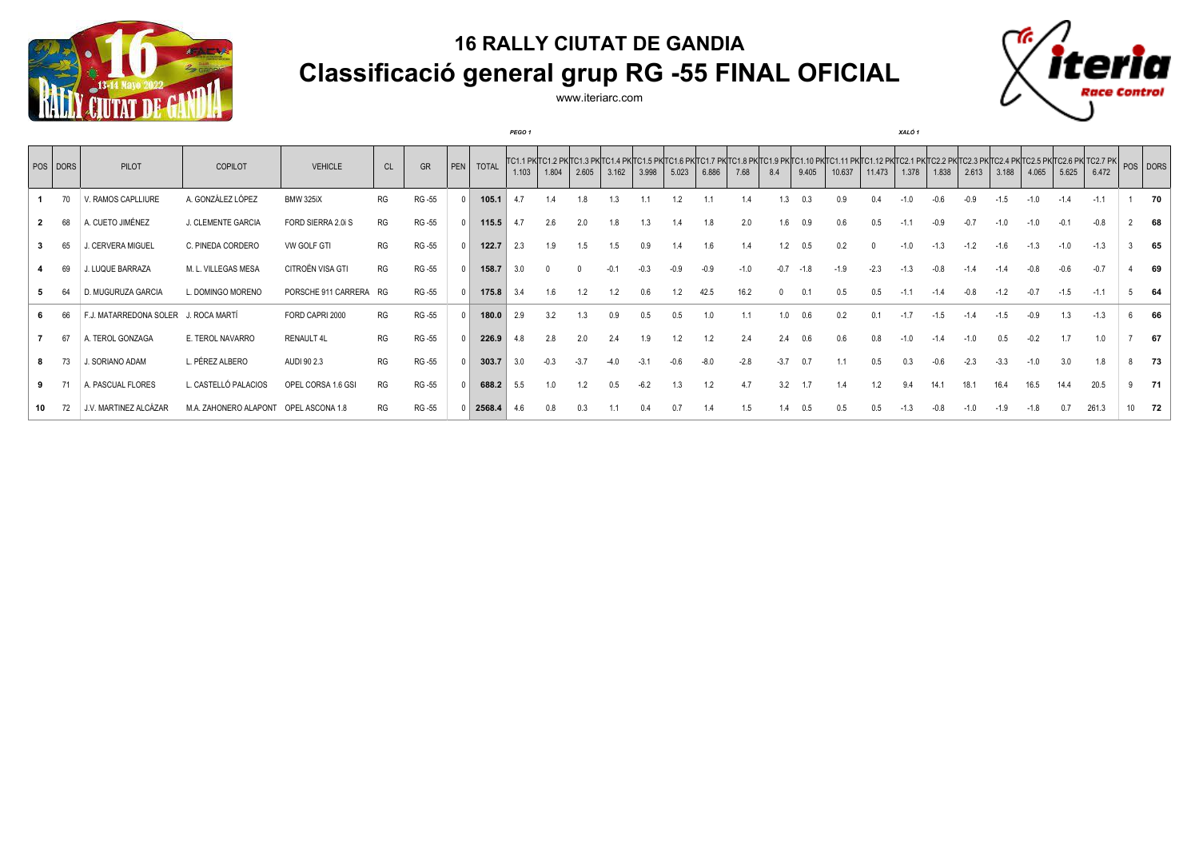

www.iteriarc.com

*PEGO 1 XALÓ 1*



|    | POS DORS | PILOT                                | COPILOT                               | <b>VEHICLE</b>      | <b>CL</b> | GR     | PEN   TOTAL | 1.103 | 1.804 | 2.605  | 3.162 | 3.998 | 5.023 | 6.886 | 7.68   | TC1.1 PKTC1.2 PKTC1.3 PKTC1.4 PKTC1.5 PKTC1.6 PKTC1.7 PKTC1.8 PKTC1.9 PKTC1.10 PKTC1.11 PKTC1.12 PKTC2.1 PKTC2.2 PKTC2.2 PKTC2.3 PKTC2.5 PKTC2.5 PKTC2.6 PKTC2.7 PK   POS   DORS<br>8.4 | 9.405  | 10.637  | 11.473 | 1.378  | 1.838  | 2.613  | 3.188  | 4.065  | 5.625  | 6.472  |    |        |
|----|----------|--------------------------------------|---------------------------------------|---------------------|-----------|--------|-------------|-------|-------|--------|-------|-------|-------|-------|--------|-----------------------------------------------------------------------------------------------------------------------------------------------------------------------------------------|--------|---------|--------|--------|--------|--------|--------|--------|--------|--------|----|--------|
|    |          | V. RAMOS CAPLLIURE                   | A. GONZÁLEZ LÓPEZ                     | <b>BMW 325iX</b>    | RG        | RG-55  | 105.1       | 4.7   |       |        | 1.3   |       | 1.2   |       |        |                                                                                                                                                                                         | 0.3    | 0.9     |        |        |        |        |        |        |        | $-1.1$ |    | 70     |
| 2  | 68       | A. CUETO JIMÉNEZ                     | J. CLEMENTE GARCIA                    | FORD SIERRA 2.0i S  | RG        | RG-55  | 115.5       | 4.7   | 2.6   | 2.0    | 1.8   |       |       | 1.8   | 2.0    | 1.6                                                                                                                                                                                     | 0.9    | 0.6     | 0.5    |        |        |        |        | -1.0   |        | $-0.8$ |    | 68     |
|    | 65       | J. CERVERA MIGUEL                    | C. PINEDA CORDERO                     | VW GOLF GTI         | RG        | RG-55  | 122.7       | 2.3   | 1.9   | 1.5    | 1.5   | 0.9   |       | 1.6   | 1.4    | 1.2                                                                                                                                                                                     | 0.5    | 0.2     |        | $-1.0$ | $-1.3$ | $-1.2$ | -1.6   | $-1.3$ | $-1.0$ | $-1.3$ |    | 65     |
|    | 69       | J. LUQUE BARRAZA                     | M. L. VILLEGAS MESA                   | CITROËN VISA GTI    | RG        | RG -55 | 158.7       | 3.0   |       |        |       |       |       | -0.9  | $-1.0$ | $-0.7$                                                                                                                                                                                  | $-1.8$ | $-1.9$  | $-2.3$ | $-1.3$ |        |        |        |        |        | $-0.7$ |    | 69     |
|    |          | D. MUGURUZA GARCIA                   | L. DOMINGO MORENO                     | PORSCHE 911 CARRERA | RG        | RG -55 | 175.8       | 3.4   | 1.6   |        | 1.2   |       |       |       | 16.2   |                                                                                                                                                                                         | 0.1    | 0.5     | 0.5    | $-1.1$ |        |        | $-1.2$ | $-0.7$ | $-1.5$ | $-1.1$ |    | 64     |
|    |          | F.J. MATARREDONA SOLER J. ROCA MARTÍ |                                       | FORD CAPRI 2000     | RG        | RG-55  | 180.0       | 2.9   | 3.2   |        | 0.9   |       |       |       |        | 1.0                                                                                                                                                                                     | 0.6    |         |        |        |        |        |        |        |        | $-1.3$ |    | 66     |
|    | -67      | A. TEROL GONZAGA                     | E. TEROL NAVARRO                      | RENAULT 4L          | RG        | RG-55  | 226.9       | 4.8   | 2.8   | 2.0    | 2.4   |       |       |       | 2.4    | 2.4                                                                                                                                                                                     | 0.6    | 0.6     |        |        |        |        |        |        |        | 1.0    |    | 67     |
|    |          | J. SORIANO ADAM                      | L. PÉREZ ALBERO                       | AUDI 90 2.3         | RG        | RG -55 | 303.7       | 3.0   |       | $-3.7$ |       |       |       |       | $-2.8$ | $-3.7$                                                                                                                                                                                  | 0.7    |         | 0.5    | 0.3    |        |        |        | $-1.0$ | 3.0    | 1.8    | 8  | 73     |
| 9  |          | A. PASCUAL FLORES                    | L. CASTELLÓ PALACIOS                  | OPEL CORSA 1.6 GSI  | RG        | RG-55  | 688.2       | 5.5   | 1.0   |        | 0.5   |       |       | 1.2   | 4.7    | 3.2                                                                                                                                                                                     |        |         |        |        |        |        |        | 16.5   | 14.4   | 20.5   |    | $9$ 71 |
| 10 |          | J.V. MARTINEZ ALCÁZAR                | M.A. ZAHONERO ALAPONT OPEL ASCONA 1.8 |                     | RG        | RG-55  | 2568.4      | 4.6   | 0.8   | 0.3    |       |       | 0.7   |       | 1.5    | 1.4                                                                                                                                                                                     | 0.5    | $0.5\,$ | 0.5    |        |        |        |        | -1.8   | 0.7    | 261.3  | 10 | 72     |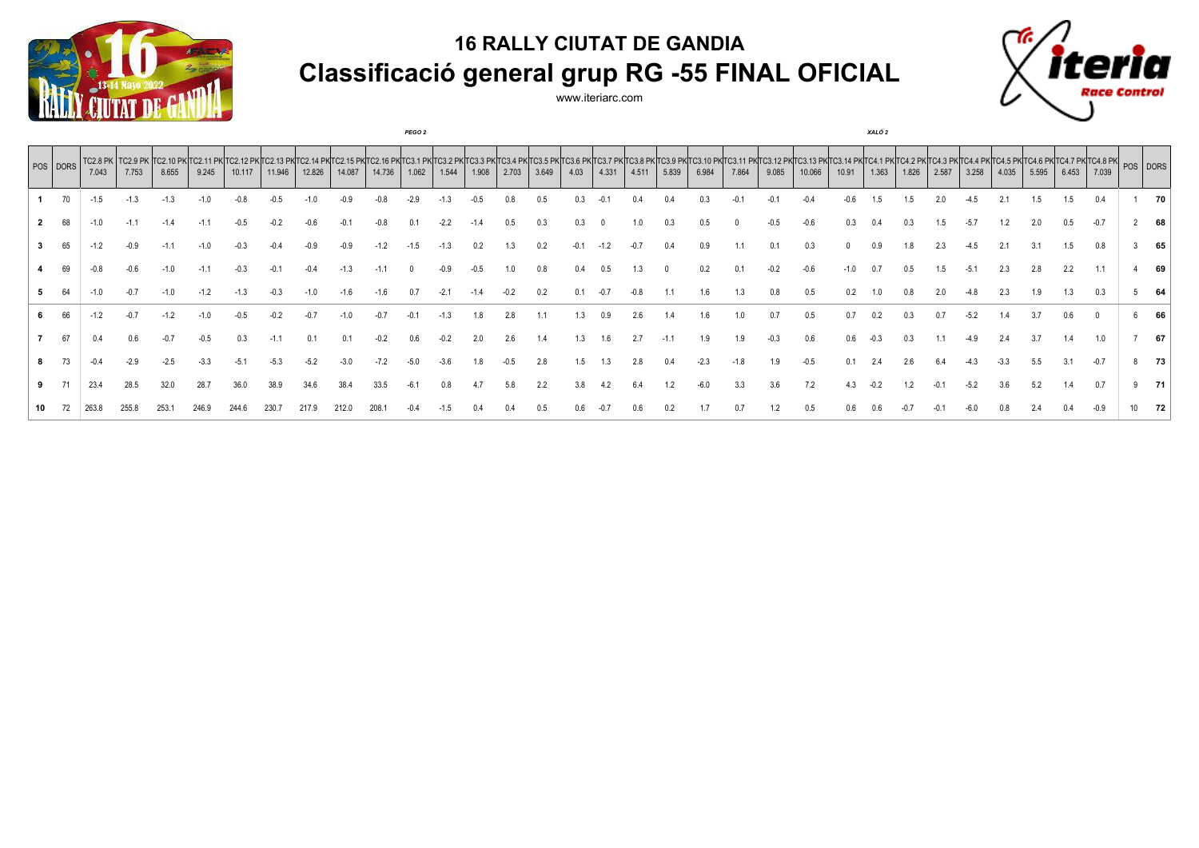



|    |          |                     |                                    |        |       |        |        |        |        |        | <b>PEGO 2</b> |       |       |       |       |      |       |                              |       |       |                |       |        |       | XALO 2 |       |       |       |       |       |       |                                                       |     |
|----|----------|---------------------|------------------------------------|--------|-------|--------|--------|--------|--------|--------|---------------|-------|-------|-------|-------|------|-------|------------------------------|-------|-------|----------------|-------|--------|-------|--------|-------|-------|-------|-------|-------|-------|-------------------------------------------------------|-----|
|    | POS DORS | $TC2.8$ PK<br>7.043 | <b>TC2.9 PK TC2.10 PK</b><br>7.753 | 8.655  | 9.245 | 10.117 | 11.946 | 12.826 | 14.087 | 14.736 | 1.062         | 1.544 | 1.908 | 2.703 | 3.649 | 4.03 | 4.331 | TC3.7 PK TC3.8 PK 1<br>4.511 | 5.839 | 6.984 | TC3.1<br>7.864 | 9.085 | 10.066 | 10.91 | 1.363  | 1.826 | 2.587 | 3.258 | 4.035 | 5.595 | 6.453 | (C4.5 PK TC4.6 PK TC4.7 PK TC4.8 PK POS DORS<br>7.039 |     |
|    |          | -1.5                |                                    |        |       |        |        |        |        |        |               |       |       |       |       |      |       |                              |       |       |                |       |        |       |        |       |       |       |       |       | 1.5   | 0.4                                                   | 70  |
|    | 68       | $-1.0$              | $-1.1$                             | $-1.4$ |       |        |        |        |        |        |               |       |       |       |       |      |       |                              |       |       |                |       |        |       |        |       |       |       |       |       |       |                                                       | 68  |
|    | 65       |                     | -0.9                               | $-1.1$ |       |        |        |        |        |        |               |       |       |       |       |      |       |                              |       |       |                |       |        |       |        |       |       |       |       |       |       | 0.8                                                   | 65  |
|    |          |                     |                                    |        |       |        |        |        |        |        |               |       |       |       |       |      |       |                              |       |       |                |       |        |       |        |       |       |       |       |       | 2.2   |                                                       | 69  |
|    | 64       |                     |                                    |        |       |        |        |        |        |        |               |       |       |       |       |      |       |                              |       |       |                |       |        |       |        |       |       |       |       |       |       | 0.3                                                   | 64  |
|    |          |                     |                                    |        |       |        |        |        |        |        |               |       |       | 2.8   |       |      |       |                              |       |       |                |       |        |       |        |       |       |       |       |       |       |                                                       | 66  |
|    | 67       |                     |                                    |        |       |        |        |        |        |        |               |       |       | 2.6   |       |      |       |                              |       |       |                |       | 0.6    | 0.6   |        |       |       |       |       |       |       |                                                       | 67  |
|    |          |                     |                                    | $-2.5$ |       |        |        |        |        |        |               |       |       |       |       |      |       |                              |       |       |                | I.9   |        |       |        |       |       |       |       |       |       | $-0.7$                                                | 73  |
|    |          |                     | 28.5                               | 32.0   | 28.7  |        |        |        |        |        |               |       |       | 5.8   |       |      |       |                              |       |       |                | 3.6   |        |       |        |       |       |       |       |       |       | 0.7                                                   | -71 |
| 10 |          |                     |                                    |        |       |        |        |        |        |        |               |       |       |       |       |      |       |                              |       |       |                |       |        |       |        |       |       |       |       |       |       |                                                       | 72  |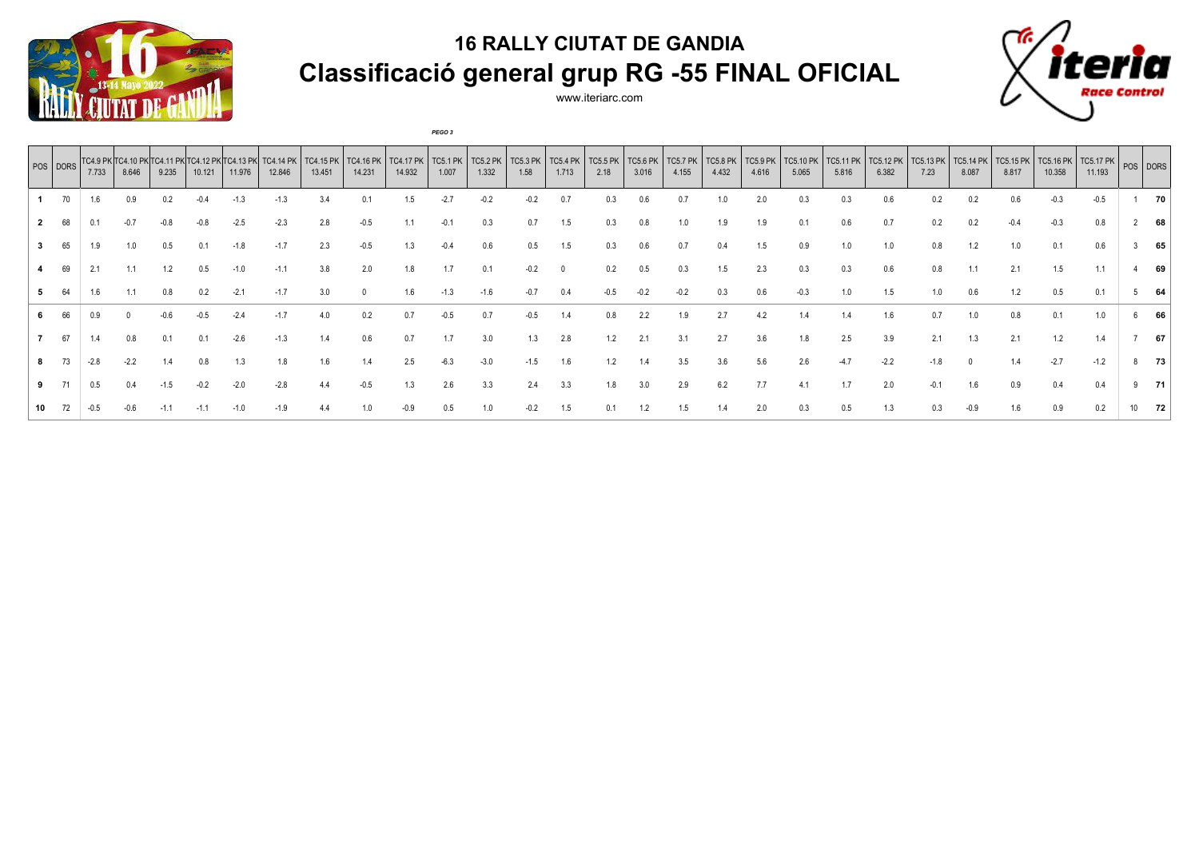

www.iteriarc.com

*PEGO 3*



|    | POS DORS | 7.733 | TC4.9 PK TC4.10 PK<br>8.646 | 9.235 | 10.121 | 11.976 | 12.846 | TC4.15 PK<br>13.451 | TC4.16 PK<br>14.231 | <b>TC4.17 PK</b><br>14.932 | TC5.1 PK<br>1.007 | <b>TC5.2 PK</b><br>1.332 | TC5.3 PK<br>1.58 | <b>TC5.4 PK</b><br>1.713 | <b>TC5.5 PK</b><br>2.18 | <b>TC5.6 PK</b><br>3.016 | <b>TC5.7 PK</b><br>4.155 | <b>TC5.8 PK</b><br>4.432 | <b>TC5.9 PK</b><br>4.616 | TC5.10 PK<br>5.065 | TC5.11 PK<br>5.816 | <b>TC5.12 PK</b><br>6.382 | TC5.13 PK<br>7.23 | TC5.14 PK<br>8.087 | <b>TC5.15 PK</b><br>8.817 | <b>TC5.16 PK</b><br>10.358 | $\cdot$   TC5.17 PK   POS   DORS  <br>11.193 |    |
|----|----------|-------|-----------------------------|-------|--------|--------|--------|---------------------|---------------------|----------------------------|-------------------|--------------------------|------------------|--------------------------|-------------------------|--------------------------|--------------------------|--------------------------|--------------------------|--------------------|--------------------|---------------------------|-------------------|--------------------|---------------------------|----------------------------|----------------------------------------------|----|
|    | 70       | 1.6   |                             | 0.2   |        | -1.3   | -1.3   |                     | 0.1                 | 1.5                        |                   | -0.2                     |                  |                          |                         |                          |                          |                          | 2.0                      |                    |                    | 0.6                       |                   |                    | 0.6                       |                            | $-0.5$                                       | 70 |
|    |          |       |                             |       |        |        |        |                     | -0.5                |                            |                   |                          |                  |                          |                         |                          |                          |                          |                          |                    | 0.6                |                           |                   |                    |                           |                            |                                              | 68 |
|    | 65       |       |                             | 0.5   |        |        | $-1.7$ | 2.3                 | -0.5                |                            |                   | 0.6                      | D.5              |                          |                         |                          |                          |                          |                          | 0.9                |                    | 1.0                       | 0.8               |                    |                           |                            | 0.6                                          | 65 |
|    | 69       |       |                             |       |        |        | $-1.1$ |                     |                     |                            |                   |                          |                  |                          |                         |                          |                          |                          |                          |                    |                    |                           | 0.8               |                    |                           |                            |                                              | 69 |
|    |          |       |                             |       |        |        |        |                     |                     |                            |                   |                          |                  |                          |                         |                          |                          |                          |                          |                    |                    |                           |                   |                    |                           |                            |                                              | 64 |
|    |          |       |                             |       |        |        |        |                     |                     |                            |                   |                          |                  |                          |                         |                          |                          |                          |                          |                    |                    | 1.6                       |                   |                    | 0.8                       |                            |                                              | 66 |
|    | 67       |       |                             |       |        |        | -1.3   | 1.4                 |                     |                            |                   | 3.0                      | 1.3              | 2.8                      |                         | 2.1                      |                          |                          | 3.6                      |                    |                    | 3.9                       | 2.1               |                    |                           |                            |                                              | 67 |
|    |          |       |                             |       |        |        | 1.8    | 1.6                 | 1.4                 | 2.5                        | -6.3              |                          |                  |                          |                         |                          |                          | 3.6                      | 5.b                      |                    |                    |                           | $-1.8$            |                    |                           |                            | $-1.2$                                       | 73 |
| 9. |          | 0.5   |                             |       |        |        | -2.8   |                     |                     |                            | 2.6               | 3.3                      | 2.4              | 3.3                      |                         |                          | 2.9                      | 6.2                      | 7.7                      |                    |                    | 2.0                       |                   |                    | 0.9                       |                            | 0.4                                          | 71 |
| 10 |          |       |                             |       |        |        |        |                     |                     |                            |                   |                          |                  |                          |                         |                          |                          |                          |                          |                    |                    |                           |                   |                    |                           |                            |                                              | 72 |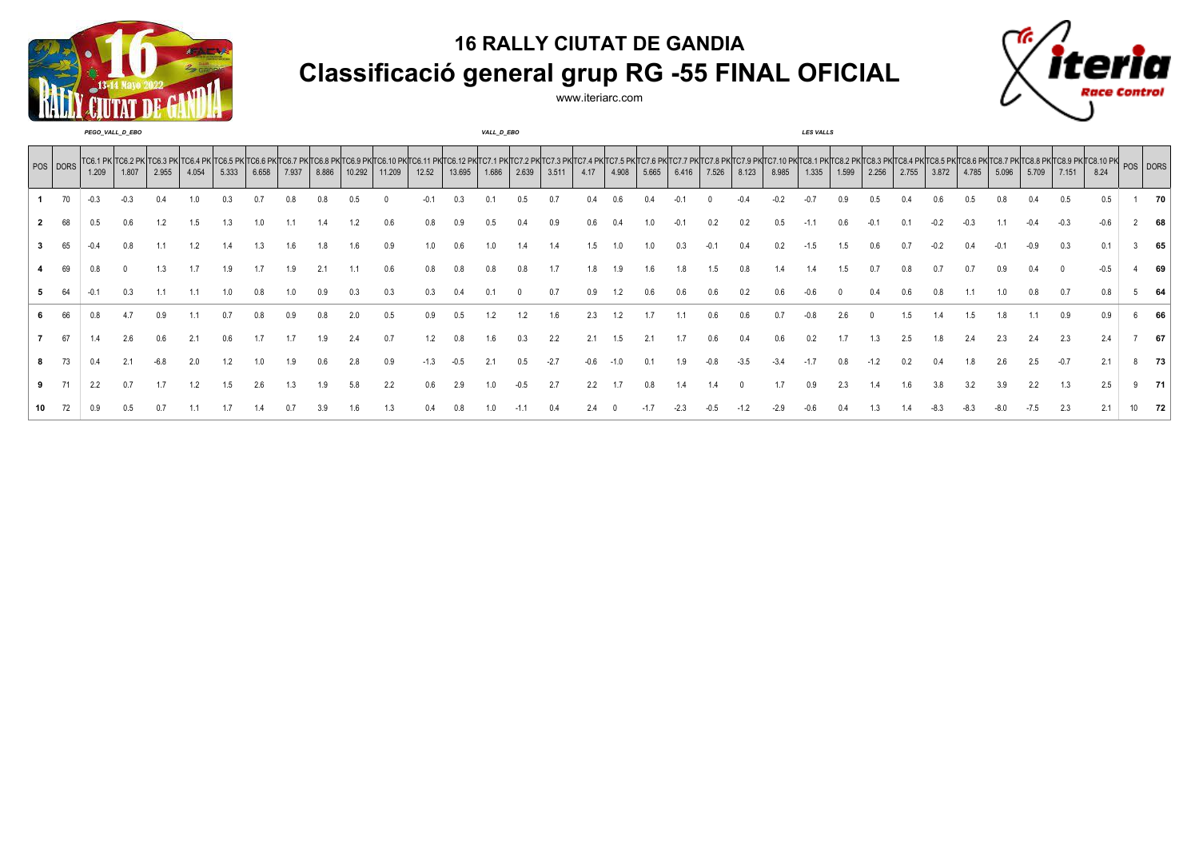



|    |          |       | PEGO_VALL_D_EBO                     |       |       |       |       |       |       |        |        |                                                                                             |        | VALL_D_EBO     |       |       |      |       |       |       |       |       |       | LES VALLS                                                   |       |       |       |       |       |       |       |       |                                              |    |
|----|----------|-------|-------------------------------------|-------|-------|-------|-------|-------|-------|--------|--------|---------------------------------------------------------------------------------------------|--------|----------------|-------|-------|------|-------|-------|-------|-------|-------|-------|-------------------------------------------------------------|-------|-------|-------|-------|-------|-------|-------|-------|----------------------------------------------|----|
|    | POS DORS | 1.209 | TC6.1 PK TC6.2 PK TC6.3 PK<br>1.807 | 2.955 | 4.054 | 5.333 | 6.658 | 7.937 | 8.886 | 10.292 | 11.209 | PKITC6.11 PKITC6.12 PKITC7.1 PKITC7.2 PKITC7.3 PKITC7.4 PKITC7.5 PKITC7.6 PKITC7.7<br>12.52 | 13.695 | 1.686          | 2.639 | 3.511 | 4.17 | 4.908 | 5.665 | 6.416 | 7.526 | 8.123 | 8.985 | TC7.10 PK TC8.1 PK TC8.2 PK TC8.3 PK  <sup>-</sup><br>1.335 | 1.599 | 2.256 | 2.755 | 3.872 | 4.785 | 5.096 | 5.709 | 7.151 | PKTC8.8 PKTC8.9 PKTC8.10 PK POS DORS<br>8.24 |    |
|    |          | -0.3  |                                     |       | 1.0   |       |       |       | 0.8   |        |        |                                                                                             | 0.3    | 0.             | J.5   |       |      |       |       |       |       |       |       | -0.                                                         | 0.9   | 0.5   |       |       |       |       |       | 0.5   | 0.5                                          | 70 |
|    |          | 0.5   |                                     |       | 1.5   |       |       |       |       |        |        |                                                                                             |        | 0.5            |       | 0.9   |      |       |       |       |       |       |       |                                                             |       |       |       |       |       |       |       |       | $-0.6$                                       | 68 |
|    |          |       |                                     |       |       |       |       |       |       |        |        | 1.0                                                                                         |        |                |       |       |      |       |       |       |       |       |       |                                                             |       |       |       |       |       |       |       |       | 0.1                                          | 65 |
|    |          |       |                                     |       |       |       |       | - q   |       |        |        |                                                                                             |        | 0.8            | 0.8   |       |      |       |       |       |       |       |       |                                                             |       |       |       |       | n :   |       |       |       | $-0.5$                                       | 69 |
|    |          |       |                                     |       |       |       |       |       |       |        |        |                                                                                             |        |                |       |       |      |       |       |       |       |       |       |                                                             |       |       |       |       |       |       |       |       | 0.8                                          | 64 |
|    |          |       |                                     |       |       |       |       |       |       |        | 0.5    |                                                                                             |        |                |       | l hi  |      |       |       |       |       | ) h   |       |                                                             |       |       | l 5   |       |       |       |       | 0.9   | 0.9                                          | 66 |
|    | 67       |       |                                     | 0.6   |       | 0.6   |       |       |       |        | 0.7    |                                                                                             |        | $\mathfrak{b}$ |       | 2.2   |      |       |       |       |       |       |       | 0.2                                                         |       |       |       |       |       |       | 2.4   | 2.3   | 2.4                                          | 67 |
|    |          |       |                                     |       | 2.0   |       |       |       | 0.6   | 2.8    | 0.9    |                                                                                             |        |                | 1.5   |       |      |       |       |       |       |       |       |                                                             |       |       |       |       |       |       | 2.5   |       | 2.1                                          | 73 |
|    |          |       |                                     |       |       |       | 2.6   |       |       | 5.8    | 2.2    | 0.6                                                                                         |        |                |       |       |      |       |       |       |       |       |       | 0.9                                                         | 2.3   |       |       |       |       |       | 2.2   | 1.3   | 2.5                                          | 71 |
| 10 |          |       |                                     |       |       |       |       |       |       |        |        |                                                                                             |        |                |       |       |      |       |       |       |       |       |       |                                                             |       |       |       |       |       |       |       |       |                                              | 72 |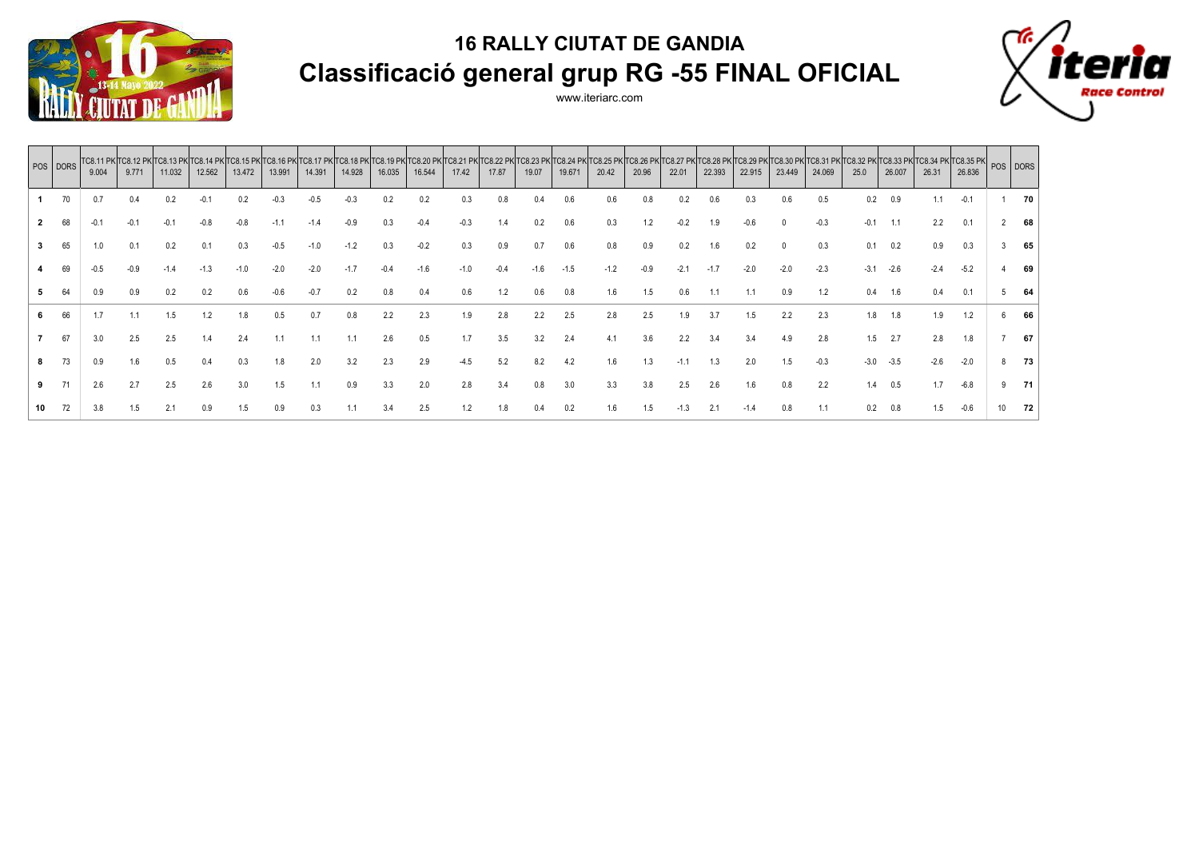



|                | POS DORS | 9.004  | TC8.11 PK TC8.12 PK<br>9.771 | <b>TC8.13 PK</b><br>11.032 | 12.562 | 13.472 | 13.991 | 14.391 | TC8.18 PK TC8.19 PKT<br>14.928 | 16.035 | <b>C8.20 PK</b><br>16.544 | <b>TC8.21 PK</b><br>17.42 | TC8.22 PK<br>17.87 | 19.07   | TC8.23 PK TC8.24 PK<br>19.671 | <b>FC8.25 PK TC8.26 PK</b><br>20.42 | 20.96 | <b>TC8.27</b><br>22.01 | C8.28 PK 1<br>22.393 | <b>TC8.29 PK</b><br>22.915 | <b>C8.30</b><br>23.449 | 24.069 | TC8.31 PK TC8.32 PK<br>25.0 | <b>TC8.33 PK</b><br>26.007 | $\chi$ TC8.34 PK TC8.35 PK POS DORS<br>26.31 | 26.836 |    |     |
|----------------|----------|--------|------------------------------|----------------------------|--------|--------|--------|--------|--------------------------------|--------|---------------------------|---------------------------|--------------------|---------|-------------------------------|-------------------------------------|-------|------------------------|----------------------|----------------------------|------------------------|--------|-----------------------------|----------------------------|----------------------------------------------|--------|----|-----|
|                |          | 0.7    | 0.4                          | 0.2                        | -0.    |        |        |        |                                |        |                           | 0.3                       | 0.8                |         | 0.6                           | 0.6                                 |       |                        | 0.6                  |                            | 0.6                    | 0.5    | $0.2\,$                     |                            |                                              | $-0.1$ |    | 70  |
| $\overline{2}$ | 68       | $-0.1$ | $-0.1$                       | $-0.1$                     | $-0.8$ | $-0.8$ | $-1.1$ | $-1.4$ | $-0.9$                         | 0.3    | $-0.4$                    | $-0.3$                    | 1.4                | 0.2     | 0.6                           | 0.3                                 | 1.2   | $-0.2$                 | 1.9                  | -0.6                       |                        | $-0.3$ | $-0.1$                      | 1.1                        | 2.2                                          | 0.1    |    | 68  |
| 3              | 65       | 1.0    | 0.1                          | 0.2                        | 0.1    | 0.3    | $-0.5$ | $-1.0$ | $-1.2$                         | 0.3    | $-0.2$                    | 0.3                       | 0.9                | 0.7     | 0.6                           | 0.8                                 | 0.9   | 0.2                    | 1.6                  | 0.2                        |                        | 0.3    | 0.1                         | 0.2                        | 0.9                                          | 0.3    |    | 65  |
|                | 69       | $-0.5$ | $-0.9$                       | $-1.4$                     | $-1.3$ | $-1.0$ | $-2.0$ | $-2.0$ | $-1.7$                         | $-0.4$ | $-1.6$                    | $-1.0$                    | $-0.4$             | $-1.6$  | $-1.5$                        | $-1.2$                              | -0.9  | $-2.1$                 | $-1.7$               | $-2.0$                     | $-2.0$                 | $-2.3$ | $-3.1$                      | $-2.6$                     | $-2.4$                                       | $-5.2$ |    | 69  |
| 5              | 64       | 0.9    | 0.9                          | 0.2                        | 0.2    | 0.6    | $-0.6$ | $-0.7$ | 0.2                            | 0.8    | 0.4                       | 0.6                       | 1.2                | 0.6     | 0.8                           | 1.6                                 | 1.5   | 0.6                    |                      | 1.1                        | 0.9                    | 1.2    | 0.4                         | 1.6                        | 0.4                                          | 0.1    |    | 64  |
| 6              | 66       | 1.7    | 1.1                          | 1.5                        | 1.2    |        | 0.5    | 0.7    | 0.8                            | 2.2    | 2.3                       | 1.9                       | 2.8                | 2.2     | 2.5                           | 2.8                                 | 2.5   | 1.9                    | 3.7                  | 1.5                        | 2.2                    | 2.3    | 1.8                         | 1.8                        | 1.9                                          | 1.2    |    | 66  |
|                | 67       | 3.0    | 2.5                          | 2.5                        | 1.4    | 2.4    | 1.1    | 1.1    |                                | 2.6    | 0.5                       | 1.7                       | 3.5                | 3.2     | 2.4                           |                                     | 3.6   | 2.2                    | 3.4                  | 3.4                        | 4.9                    | 2.8    | 1.5                         | 2.7                        | 2.8                                          | 1.8    |    | 67  |
| 8              | 73       | 0.9    | 1.6                          | 0.5                        | 0.4    | 0.3    | 1.8    | 2.0    | 3.2                            | 2.3    | 2.9                       | -4.5                      | 5.2                | 8.2     | 4.2                           | 1.6                                 | 1.3   | $-1.1$                 | 1.3                  | 2.0                        | 1.5                    | $-0.3$ | $-3.0$                      | $-3.5$                     | $-2.6$                                       | $-2.0$ |    | 73  |
| 9              |          | 2.6    | 2.7                          | 2.5                        | 2.6    | 3.0    | 1.5    | 1.1    | 0.9                            | 3.3    | 2.0                       | 2.8                       | 3.4                | $0.8\,$ | 3.0                           | 3.3                                 | 3.8   | 2.5                    | 2.6                  | 1.6                        | 0.8                    | 2.2    | 1.4                         | 0.5                        | 1.7                                          | $-6.8$ |    | -71 |
| 10             | 72       | 3.8    | 1.5                          | 2.1                        | 0.9    | 1.5    | 0.9    | 0.3    |                                | 3.4    | 2.5                       | 1.2                       | 1.8                | 0.4     | 0.2                           | 1.6                                 | 1.5   | $-1.3$                 | 2.1                  | $-1.4$                     | 0.8                    | 1.1    | 0.2                         |                            | 1.5                                          | $-0.6$ | 10 | 72  |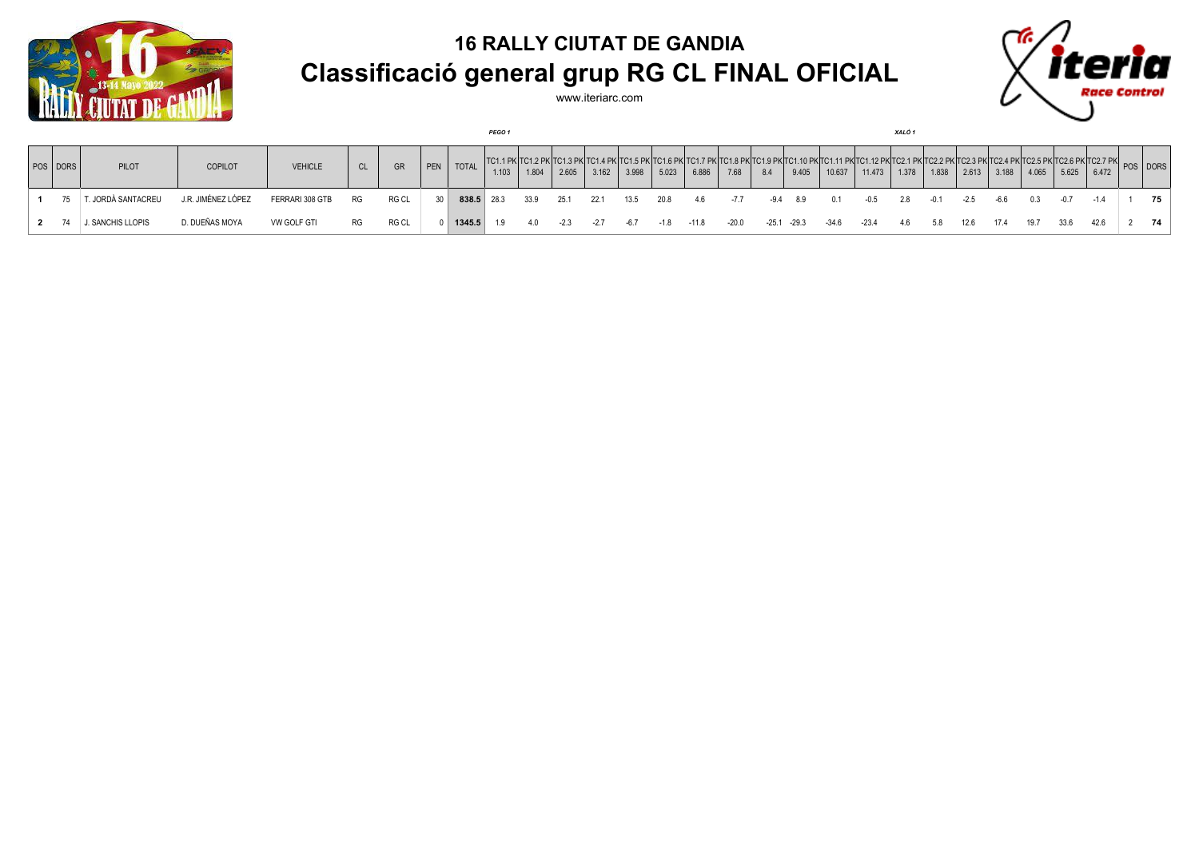



|          |                   |                    |                 |           |       |     |        | <b>PEGO 1</b> |       |        |                                                           |       |        |         |         |             |          |        |        | XALO 1 |        |        |       |       |       |                                                                                                                   |          |    |
|----------|-------------------|--------------------|-----------------|-----------|-------|-----|--------|---------------|-------|--------|-----------------------------------------------------------|-------|--------|---------|---------|-------------|----------|--------|--------|--------|--------|--------|-------|-------|-------|-------------------------------------------------------------------------------------------------------------------|----------|----|
| POS DORS | PILOT             | <b>COPILOT</b>     | <b>VEHICLE</b>  | <b>CL</b> | GR    | PEN | TOTAL  | 1.103         | 1.804 | 2.605  | : TC1.4 PK TC1.5 PK TC1.6 PK TC1.7 PK TC1.8 PK T<br>3.162 | 3.998 | 5.023  | 6.886   | 7.68    | 8.4         | 9.405    | 10.637 | 11.473 | 1.378  | 1.838  | 2.613  | 3.188 | 4.065 | 5.625 | . TC1.9 PK TC1.10 PK TC1.11 PK TC1.12 PK TC2.1 PK TC2.2 PK TC2.3 PK TC2.4 PK TC2.5 PK TC2.6 PK TC2.7 PK <br>6.472 | POS DORS |    |
|          | . JORDÀ SANTACREU | J.R. JIMÉNEZ LÓPEZ | FERRARI 308 GTB | RG        | RG CL | 30  |        | 838.5 28.3    | 33.9  | 25.1   | 22.1                                                      | 13.5  | 20.8   | -4.6    | -7.7    |             | -9.4 8.9 | 0.1    | -0.5   | 2.8    | $-0.1$ | $-2.5$ | -6.6  | 0.3   | -0.7  | $-1.4$                                                                                                            |          | 75 |
|          | J. SANCHIS LLOPIS | D. DUEÑAS MOYA     | VW GOLF GTI     | RG.       | RG CL |     | 1345.5 | 1.9           | 4.0   | $-2.3$ |                                                           | -67   | $-1.8$ | $-11.8$ | $-20.0$ | -25.1 -29.3 |          | -34.6  | -23.4  | 4.6    | 5.8    | 12.6   | 17.4  | 19.7  | 33.6  | 42.6                                                                                                              |          | 74 |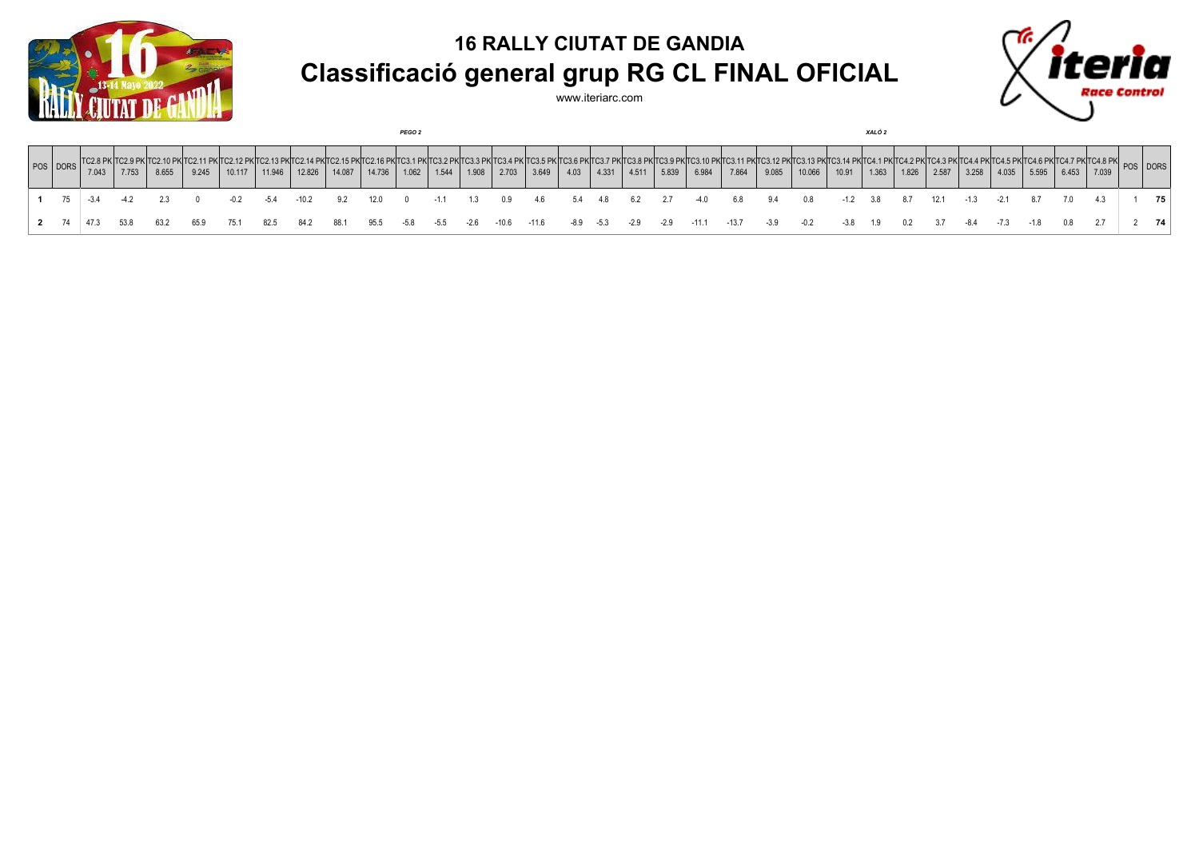



|                       |                  |        |       |       |        |        |                                                                                                                                                                                                                                          |        |        | <b>PEGO 2</b> |        |        |       |       |      |       |                             |       |         |         |       |        |        | XALO 2 |       |       |        |        |       |       |       |          |    |
|-----------------------|------------------|--------|-------|-------|--------|--------|------------------------------------------------------------------------------------------------------------------------------------------------------------------------------------------------------------------------------------------|--------|--------|---------------|--------|--------|-------|-------|------|-------|-----------------------------|-------|---------|---------|-------|--------|--------|--------|-------|-------|--------|--------|-------|-------|-------|----------|----|
| POS DORS <sup>"</sup> | 7.043            | 7.753  | 8.655 | 9.245 | 10.117 | 11.946 | C2.10 PK TC2.11 PK TC2.12 PK TC2.13 PK TC2.14 PK TC2.15 PK TC2.16 PK TC3.1 PK TC3.2 PK TC3.3 PK TC3.4 PK TC3.5 PK TC3.6 PK TC3.7 PK TC3.8 PK TC3.8 PK TC3.9 PK TC3.9 PK TC3.7 PK TC3.8 PK TC3.7 PK TC3.8 PK TC3.7 PK TC3.7 PK <br>12.826 | 14.087 | 14.736 | 1.062         | 1.544  | 1.908  | 2.703 | 3.649 | 4.03 | 4.331 | 4.511                       | 5.839 | 6.984   | 7.864   | 9.085 | 10.066 | 10.91  | 1.363  | 1.826 | 2.587 | 3.258  | 4.035  | 5.595 | 6.453 | 7.039 | POS DORS |    |
|                       | $1 \t 75 \t 3.4$ | $-4.2$ | 2.3   |       | $-0.2$ | $-5.4$ | -10.2                                                                                                                                                                                                                                    | 9.2    | 12.0   | $\mathbf{0}$  | $-1.1$ | 1.3    | 0.9   | - 4.6 |      |       | 5.4 4.8 6.2 2.7 -4.0        |       |         | 6.8     | 9.4   | 0.8    | $-1.2$ | 3.8    | 8.7   | 12.1  | $-1.3$ | $-2.1$ | 8.7   |       |       |          | 75 |
| 2 74                  | 473              | 53.8   | 63.2  | 65.9  | 75.1   | 82.5   | 84.2                                                                                                                                                                                                                                     | 88.1   | 95.5   | -5.8          | $-5.5$ | $-2.6$ | -10.6 | -11.6 |      |       | $-8.9$ $-5.3$ $-2.9$ $-2.9$ |       | $-11.1$ | $-13.7$ | -3.9  |        | $-3.8$ | 19     | 0.2   | 3.7   | -8.4   | $-7.3$ | $-18$ |       |       |          | 74 |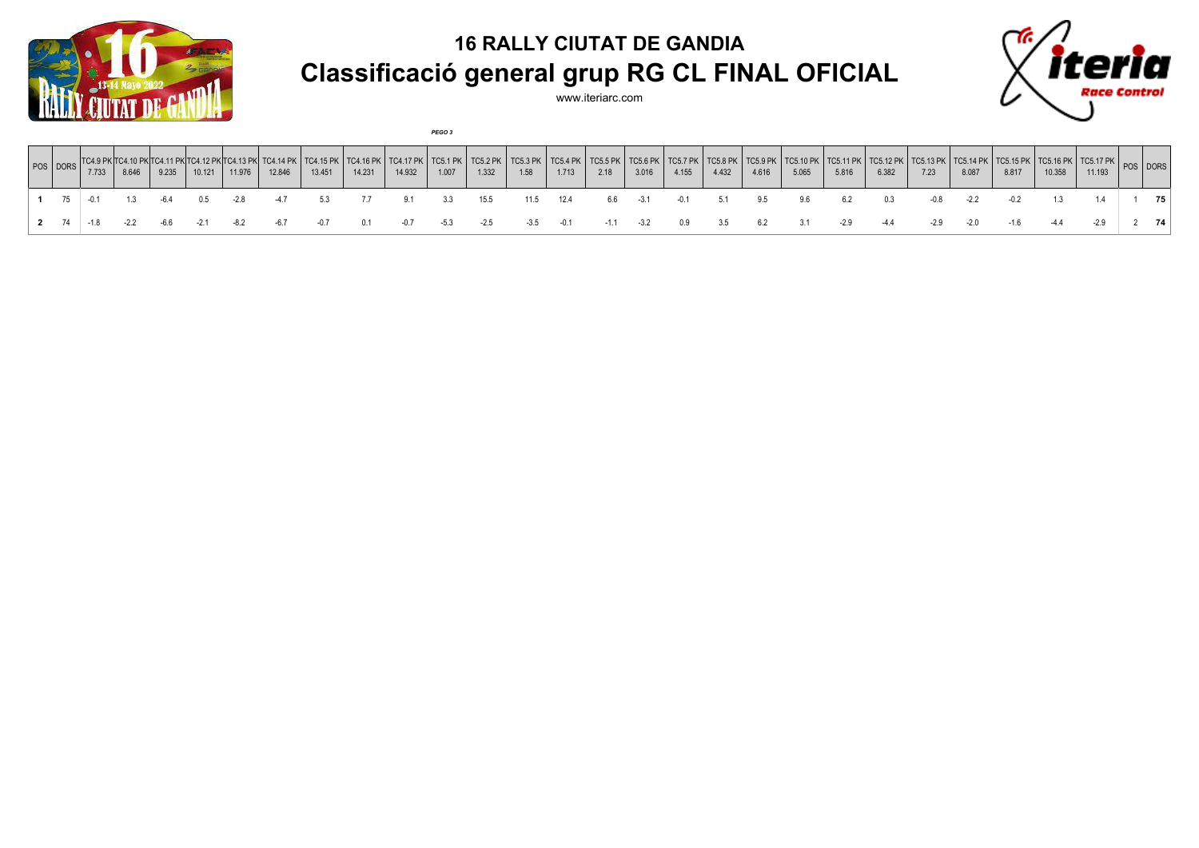

www.iteriarc.com

*PEGO 3*



| POS DORS <sup>"</sup> | 7.733  | 8.646  | 9.235 | 10.121 | 11.976 | 12.846 | 13.451 | TC4.15 PK   TC4.16 PK   TC4.17 PK   TC5.1 PK   TC5.2 PK  <br>14.231 | 14.932 | 1.007  | 1.332  | <b>TC5.3 PK</b><br>1.58 | $TC5.4$ PK $\parallel$<br>1.713 | TC5.5 PK   TC5.6 PK   TC5.7 PK  <br>2.18 | 3.016  | 4.155  | <b>TC5.8 PK</b><br>4.432 | $\vert$ TC5.9 PK $\vert$<br>4.616 | TC5.10 PK  <br>5.065 | TC5.11 PK  <br>5.816 | $TCS.12$ PK<br>6.382 | <b>TC5.13 PK</b><br>7.23 | 8.087  | 8.817  | TC5.14 PK   TC5.15 PK   TC5.16 PK   TC5.17 PK  <br>10.358 | 11.193 | POS DORS |    |
|-----------------------|--------|--------|-------|--------|--------|--------|--------|---------------------------------------------------------------------|--------|--------|--------|-------------------------|---------------------------------|------------------------------------------|--------|--------|--------------------------|-----------------------------------|----------------------|----------------------|----------------------|--------------------------|--------|--------|-----------------------------------------------------------|--------|----------|----|
|                       |        |        |       | 0.5    |        | -47    |        |                                                                     |        |        | 15.5   | 11.5                    | 12.4                            | 6.6                                      | $-3.1$ | $-0.1$ | 5.1                      | 9.5                               | 9.6                  |                      | 0.3                  | -0.8                     | $-2.2$ |        |                                                           |        |          | 75 |
| 2 74                  | $-1.8$ | $-2.2$ | -6.6  |        |        | -67    |        |                                                                     | $-0.7$ | $-5.3$ | $-2.5$ | $-3.5$                  | $-0.1$                          | $-1.1$                                   | $-3.2$ | 0.9    | 3.5                      | 6.2                               |                      | $-2.9$               | $-4.4$               | $-2.9$                   | $-2.0$ | $-1.6$ |                                                           | $-2.9$ |          | 74 |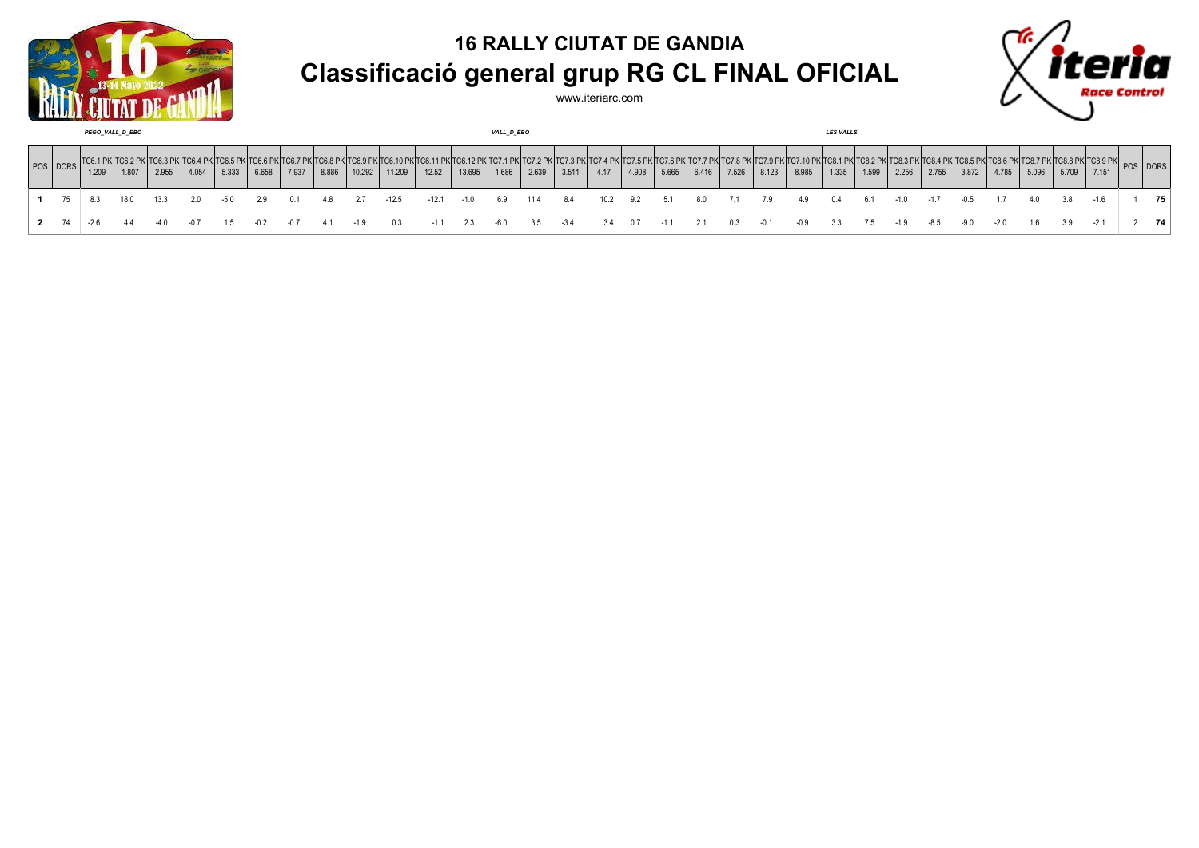



| PEGO VALL D EBO |       |       |       |       |       |       |       |       |        | VALL_D_EBO |         |                               |       |                                                               |        |      |       |       |       | <b>LES VALLS</b> |                                                    |       |       |       |       |        |        |        |       |       |       |          |    |
|-----------------|-------|-------|-------|-------|-------|-------|-------|-------|--------|------------|---------|-------------------------------|-------|---------------------------------------------------------------|--------|------|-------|-------|-------|------------------|----------------------------------------------------|-------|-------|-------|-------|--------|--------|--------|-------|-------|-------|----------|----|
| POS DORS        | 1.209 | 1.807 | 2.955 | 4.054 | 5.333 | 6.658 | 7.937 | 8.886 | 10.292 | 11.209     | 12.52   | : 11 PK TC6.12 PK T<br>13.695 | 1.686 | 1 PK TC7.2 PK TC7.3 PK TC7.4 PK TC7.5 PK TC7.6 PK 1.<br>2.639 | 3.511  | 4.17 | 4.908 | 5.665 | 6.416 | 7.526            | (ITC7.7 PKITC7.8 PKITC7.9 PKITC7.10 PKIT)<br>8.123 | 8.985 | 1.335 | 1.599 | 2.256 | 2.755  | 3.872  | 4.785  | 5.096 | 5.709 | 7.151 | POS DORS |    |
|                 | 8.3   | 18.0  | 13.3  | 2.0   | -50   | 2.9   | 0.1   |       | 2.7    | $-12.5$    | $-12.1$ | $-1.0$                        | 6.9   | 11.4                                                          | 8.4    | 10.2 | 9.2   | 5.1   | 8.0   | 7.1              | 79                                                 | 4.9   | 0.4   | 6.1   |       | $-1.7$ | $-0.5$ |        |       | 3 R   |       |          | 75 |
|                 |       |       |       |       |       |       |       |       |        |            |         |                               | -6.0  | 3.5                                                           | $-3.4$ | 3.4  | 0.7   |       | 2.1   | 0.3              | $-0.1$                                             | -0.9  | 3.3   | 7.5   | -1.9  | -8.5   | -9.0   | $-2.0$ | 1.6   | 3.9   |       |          | 74 |